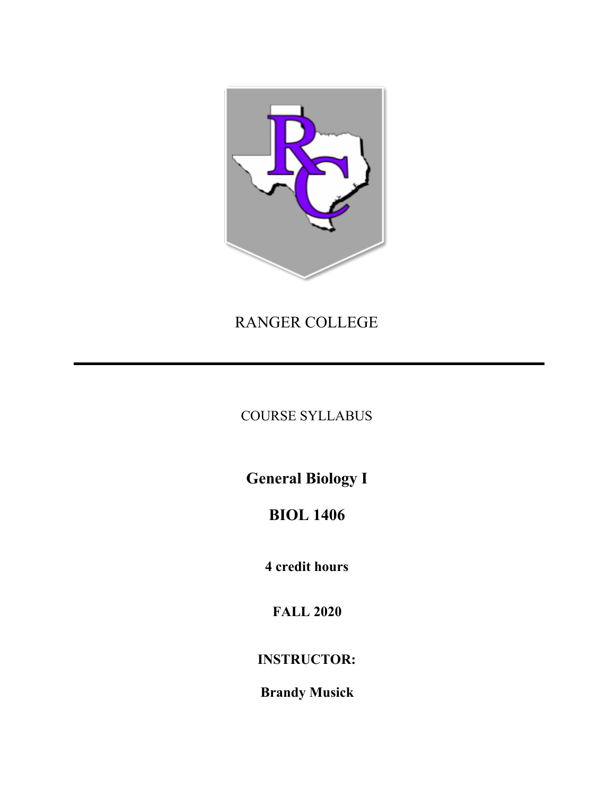

## RANGER COLLEGE

**COURSE SYLLABUS** 

**General Biology I** 

# **BIOL 1406**

4 credit hours

**FALL 2020** 

**INSTRUCTOR:** 

**Brandy Musick**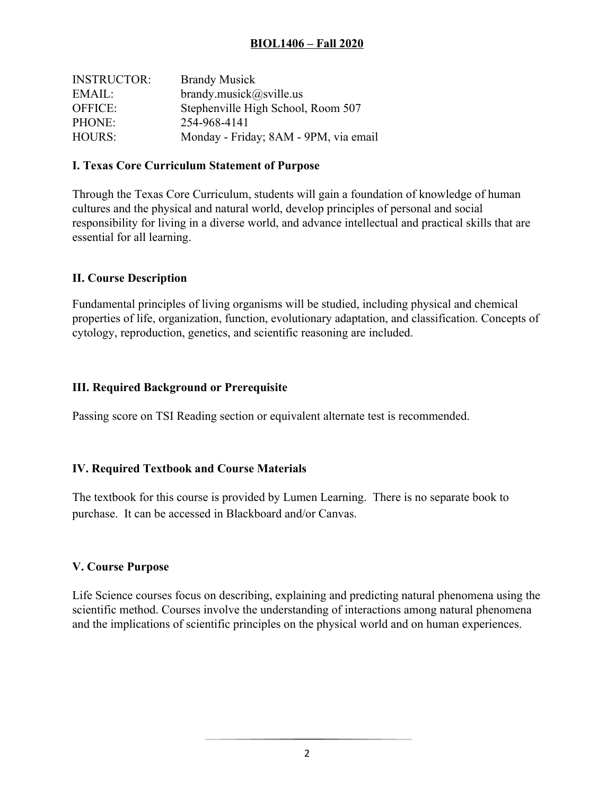## **BIOL1406 – Fall 2020**

| <b>INSTRUCTOR:</b> | <b>Brandy Musick</b>                  |
|--------------------|---------------------------------------|
| EMAIL:             | brandy.musick@sville.us               |
| <b>OFFICE:</b>     | Stephenville High School, Room 507    |
| PHONE:             | 254-968-4141                          |
| <b>HOURS:</b>      | Monday - Friday; 8AM - 9PM, via email |

## **I. Texas Core Curriculum Statement of Purpose**

Through the Texas Core Curriculum, students will gain a foundation of knowledge of human cultures and the physical and natural world, develop principles of personal and social responsibility for living in a diverse world, and advance intellectual and practical skills that are essential for all learning.

#### **II. Course Description**

Fundamental principles of living organisms will be studied, including physical and chemical properties of life, organization, function, evolutionary adaptation, and classification. Concepts of cytology, reproduction, genetics, and scientific reasoning are included.

#### **III. Required Background or Prerequisite**

Passing score on TSI Reading section or equivalent alternate test is recommended.

## **IV. Required Textbook and Course Materials**

The textbook for this course is provided by Lumen Learning. There is no separate book to purchase. It can be accessed in Blackboard and/or Canvas.

#### **V. Course Purpose**

Life Science courses focus on describing, explaining and predicting natural phenomena using the scientific method. Courses involve the understanding of interactions among natural phenomena and the implications of scientific principles on the physical world and on human experiences.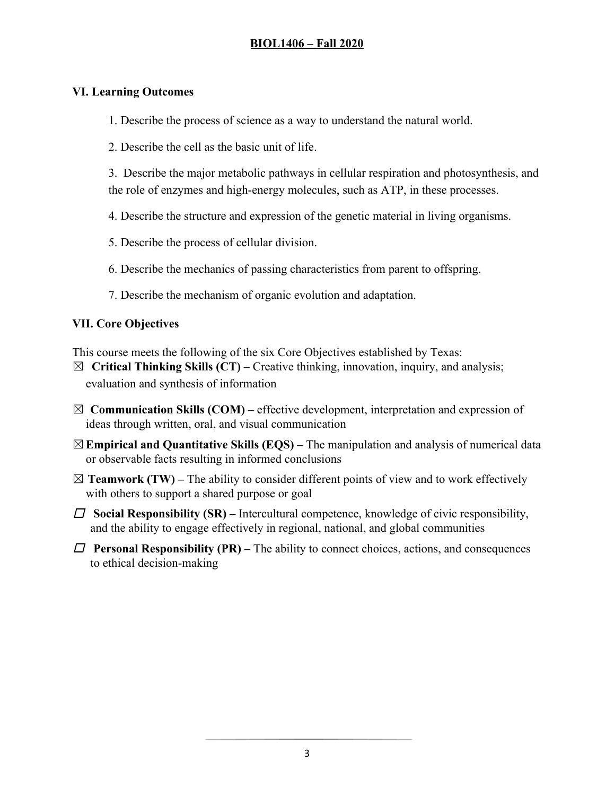## **VI. Learning Outcomes**

1. Describe the process of science as a way to understand the natural world.

2. Describe the cell as the basic unit of life.

 3. Describe the major metabolic pathways in cellular respiration and photosynthesis, and the role of enzymes and high-energy molecules, such as ATP, in these processes.

- 4. Describe the structure and expression of the genetic material in living organisms.
- 5. Describe the process of cellular division.
- 6. Describe the mechanics of passing characteristics from parent to offspring.
- 7. Describe the mechanism of organic evolution and adaptation.

## **VII. Core Objectives**

This course meets the following of the six Core Objectives established by Texas:

- ☒**Critical Thinking Skills (CT)** Creative thinking, innovation, inquiry, and analysis; evaluation and synthesis of information
- $\boxtimes$  **Communication Skills (COM)** effective development, interpretation and expression of ideas through written, oral, and visual communication
- ☒**Empirical and Quantitative Skills (EQS)** The manipulation and analysis of numerical data or observable facts resulting in informed conclusions
- $\boxtimes$  **Teamwork (TW)** The ability to consider different points of view and to work effectively with others to support a shared purpose or goal
- ☐ **Social Responsibility (SR)** Intercultural competence, knowledge of civic responsibility, and the ability to engage effectively in regional, national, and global communities
- $\square$  **Personal Responsibility (PR)** The ability to connect choices, actions, and consequences to ethical decision-making